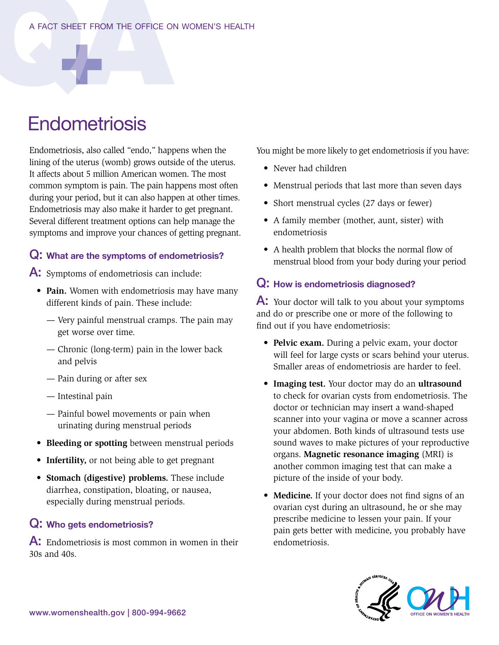# **Endometriosis**

Endometriosis, also called "endo," happens when the lining of the uterus (womb) grows outside of the uterus. It affects about 5 million American women. The most common symptom is pain. The pain happens most often during your period, but it can also happen at other times. Endometriosis may also make it harder to get pregnant. Several different treatment options can help manage the symptoms and improve your chances of getting pregnant.

### Q: What are the symptoms of endometriosis?

A: Symptoms of endometriosis can include:

- **Pain.** Women with endometriosis may have many different kinds of pain. These include:
	- Very painful menstrual cramps. The pain may get worse over time.
	- Chronic (long-term) pain in the lower back and pelvis
	- Pain during or after sex
	- Intestinal pain
	- Painful bowel movements or pain when urinating during menstrual periods
- **Bleeding or spotting** between menstrual periods
- **Infertility,** or not being able to get pregnant
- **Stomach (digestive) problems.** These include diarrhea, constipation, bloating, or nausea, especially during menstrual periods.

### Q: Who gets endometriosis?

A: Endometriosis is most common in women in their 30s and 40s.

You might be more likely to get endometriosis if you have:

- Never had children
- Menstrual periods that last more than seven days
- Short menstrual cycles (27 days or fewer)
- A family member (mother, aunt, sister) with endometriosis
- A health problem that blocks the normal flow of menstrual blood from your body during your period

#### Q: How is endometriosis diagnosed?

A: Your doctor will talk to you about your symptoms and do or prescribe one or more of the following to find out if you have endometriosis:

- **Pelvic exam.** During a pelvic exam, your doctor will feel for large cysts or scars behind your uterus. Smaller areas of endometriosis are harder to feel.
- **Imaging test.** Your doctor may do an **ultrasound** to check for ovarian cysts from endometriosis. The doctor or technician may insert a wand-shaped scanner into your vagina or move a scanner across your abdomen. Both kinds of ultrasound tests use sound waves to make pictures of your reproductive organs. **Magnetic resonance imaging** (MRI) is another common imaging test that can make a picture of the inside of your body.
- **Medicine.** If your doctor does not find signs of an ovarian cyst during an ultrasound, he or she may prescribe medicine to lessen your pain. If your pain gets better with medicine, you probably have endometriosis.